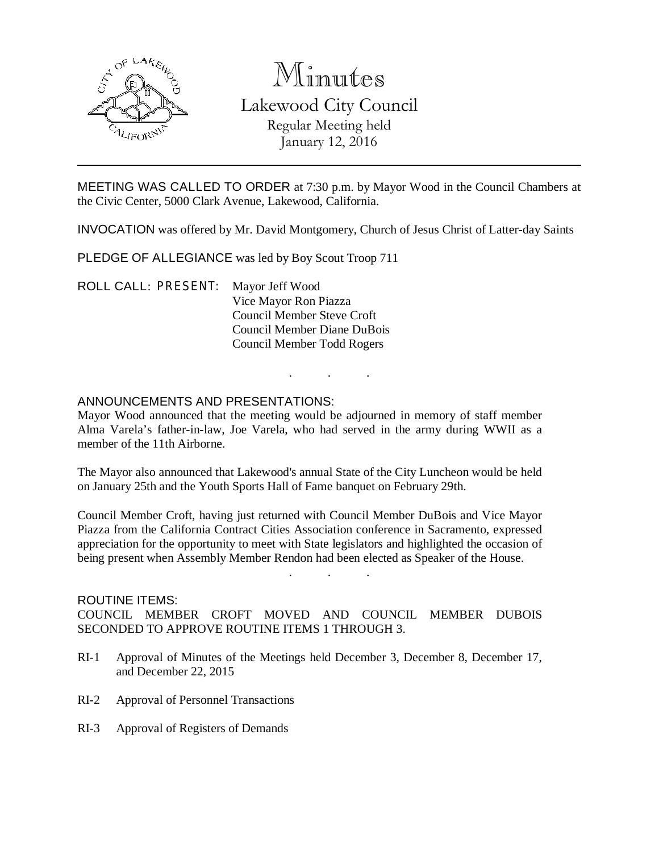

# Minutes

Lakewood City Council Regular Meeting held January 12, 2016

MEETING WAS CALLED TO ORDER at 7:30 p.m. by Mayor Wood in the Council Chambers at the Civic Center, 5000 Clark Avenue, Lakewood, California.

INVOCATION was offered by Mr. David Montgomery, Church of Jesus Christ of Latter-day Saints

PLEDGE OF ALLEGIANCE was led by Boy Scout Troop 711

ROLL CALL: PRESENT: Mayor Jeff Wood Vice Mayor Ron Piazza Council Member Steve Croft Council Member Diane DuBois Council Member Todd Rogers

## ANNOUNCEMENTS AND PRESENTATIONS:

Mayor Wood announced that the meeting would be adjourned in memory of staff member Alma Varela's father-in-law, Joe Varela, who had served in the army during WWII as a member of the 11th Airborne.

. . .

The Mayor also announced that Lakewood's annual State of the City Luncheon would be held on January 25th and the Youth Sports Hall of Fame banquet on February 29th.

Council Member Croft, having just returned with Council Member DuBois and Vice Mayor Piazza from the California Contract Cities Association conference in Sacramento, expressed appreciation for the opportunity to meet with State legislators and highlighted the occasion of being present when Assembly Member Rendon had been elected as Speaker of the House.

. . .

#### ROUTINE ITEMS:

COUNCIL MEMBER CROFT MOVED AND COUNCIL MEMBER DUBOIS SECONDED TO APPROVE ROUTINE ITEMS 1 THROUGH 3.

- RI-1 Approval of Minutes of the Meetings held December 3, December 8, December 17, and December 22, 2015
- RI-2 Approval of Personnel Transactions
- RI-3 Approval of Registers of Demands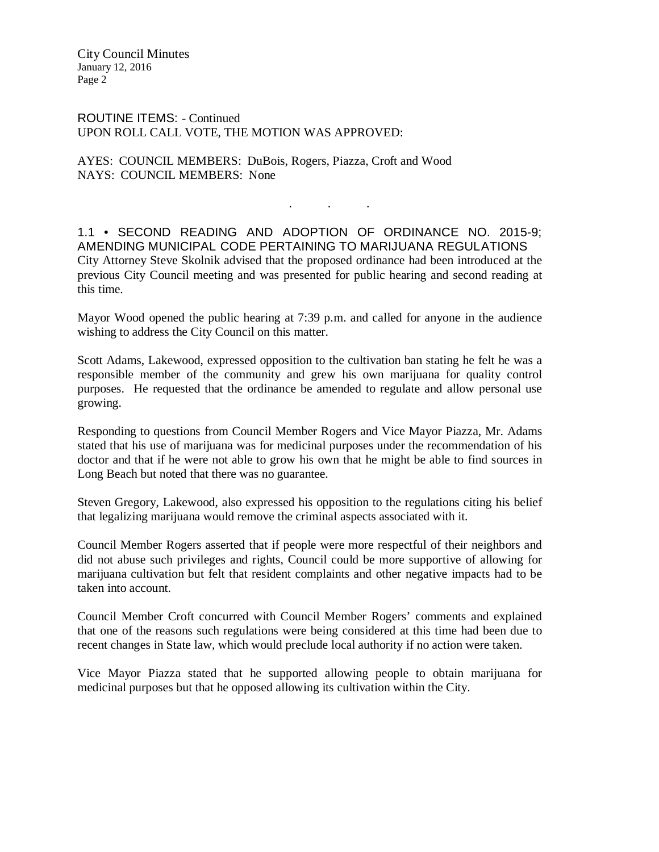ROUTINE ITEMS: - Continued UPON ROLL CALL VOTE, THE MOTION WAS APPROVED:

AYES: COUNCIL MEMBERS: DuBois, Rogers, Piazza, Croft and Wood NAYS: COUNCIL MEMBERS: None

1.1 • SECOND READING AND ADOPTION OF ORDINANCE NO. 2015-9; AMENDING MUNICIPAL CODE PERTAINING TO MARIJUANA REGULATIONS City Attorney Steve Skolnik advised that the proposed ordinance had been introduced at the previous City Council meeting and was presented for public hearing and second reading at this time.

. . .

Mayor Wood opened the public hearing at 7:39 p.m. and called for anyone in the audience wishing to address the City Council on this matter.

Scott Adams, Lakewood, expressed opposition to the cultivation ban stating he felt he was a responsible member of the community and grew his own marijuana for quality control purposes. He requested that the ordinance be amended to regulate and allow personal use growing.

Responding to questions from Council Member Rogers and Vice Mayor Piazza, Mr. Adams stated that his use of marijuana was for medicinal purposes under the recommendation of his doctor and that if he were not able to grow his own that he might be able to find sources in Long Beach but noted that there was no guarantee.

Steven Gregory, Lakewood, also expressed his opposition to the regulations citing his belief that legalizing marijuana would remove the criminal aspects associated with it.

Council Member Rogers asserted that if people were more respectful of their neighbors and did not abuse such privileges and rights, Council could be more supportive of allowing for marijuana cultivation but felt that resident complaints and other negative impacts had to be taken into account.

Council Member Croft concurred with Council Member Rogers' comments and explained that one of the reasons such regulations were being considered at this time had been due to recent changes in State law, which would preclude local authority if no action were taken.

Vice Mayor Piazza stated that he supported allowing people to obtain marijuana for medicinal purposes but that he opposed allowing its cultivation within the City.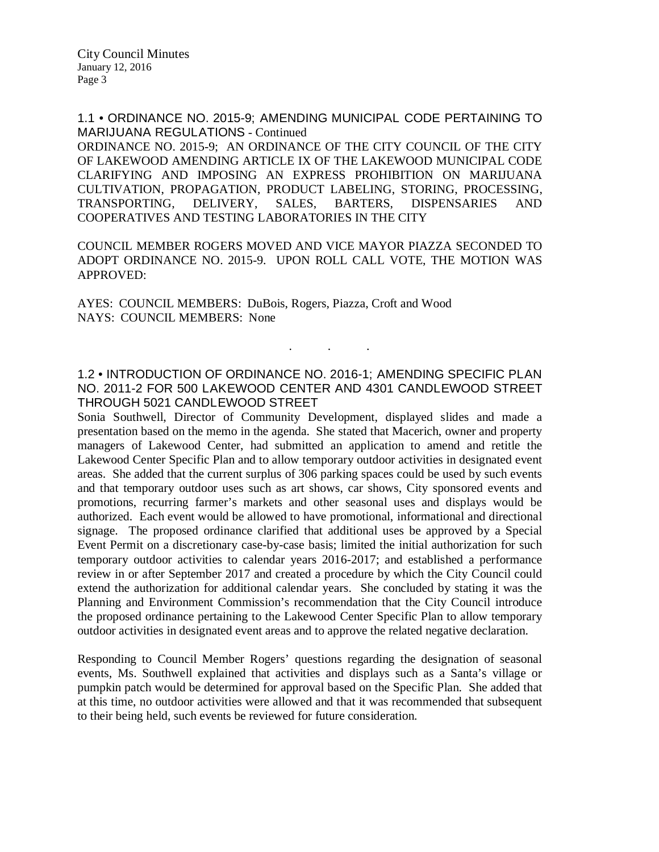1.1 • ORDINANCE NO. 2015-9; AMENDING MUNICIPAL CODE PERTAINING TO MARIJUANA REGULATIONS - Continued

ORDINANCE NO. 2015-9; AN ORDINANCE OF THE CITY COUNCIL OF THE CITY OF LAKEWOOD AMENDING ARTICLE IX OF THE LAKEWOOD MUNICIPAL CODE CLARIFYING AND IMPOSING AN EXPRESS PROHIBITION ON MARIJUANA CULTIVATION, PROPAGATION, PRODUCT LABELING, STORING, PROCESSING, TRANSPORTING, DELIVERY, SALES, BARTERS, DISPENSARIES AND COOPERATIVES AND TESTING LABORATORIES IN THE CITY

COUNCIL MEMBER ROGERS MOVED AND VICE MAYOR PIAZZA SECONDED TO ADOPT ORDINANCE NO. 2015-9. UPON ROLL CALL VOTE, THE MOTION WAS APPROVED:

AYES: COUNCIL MEMBERS: DuBois, Rogers, Piazza, Croft and Wood NAYS: COUNCIL MEMBERS: None

1.2 • INTRODUCTION OF ORDINANCE NO. 2016-1; AMENDING SPECIFIC PLAN NO. 2011-2 FOR 500 LAKEWOOD CENTER AND 4301 CANDLEWOOD STREET THROUGH 5021 CANDLEWOOD STREET

. . .

Sonia Southwell, Director of Community Development, displayed slides and made a presentation based on the memo in the agenda. She stated that Macerich, owner and property managers of Lakewood Center, had submitted an application to amend and retitle the Lakewood Center Specific Plan and to allow temporary outdoor activities in designated event areas. She added that the current surplus of 306 parking spaces could be used by such events and that temporary outdoor uses such as art shows, car shows, City sponsored events and promotions, recurring farmer's markets and other seasonal uses and displays would be authorized. Each event would be allowed to have promotional, informational and directional signage. The proposed ordinance clarified that additional uses be approved by a Special Event Permit on a discretionary case-by-case basis; limited the initial authorization for such temporary outdoor activities to calendar years 2016-2017; and established a performance review in or after September 2017 and created a procedure by which the City Council could extend the authorization for additional calendar years. She concluded by stating it was the Planning and Environment Commission's recommendation that the City Council introduce the proposed ordinance pertaining to the Lakewood Center Specific Plan to allow temporary outdoor activities in designated event areas and to approve the related negative declaration.

Responding to Council Member Rogers' questions regarding the designation of seasonal events, Ms. Southwell explained that activities and displays such as a Santa's village or pumpkin patch would be determined for approval based on the Specific Plan. She added that at this time, no outdoor activities were allowed and that it was recommended that subsequent to their being held, such events be reviewed for future consideration.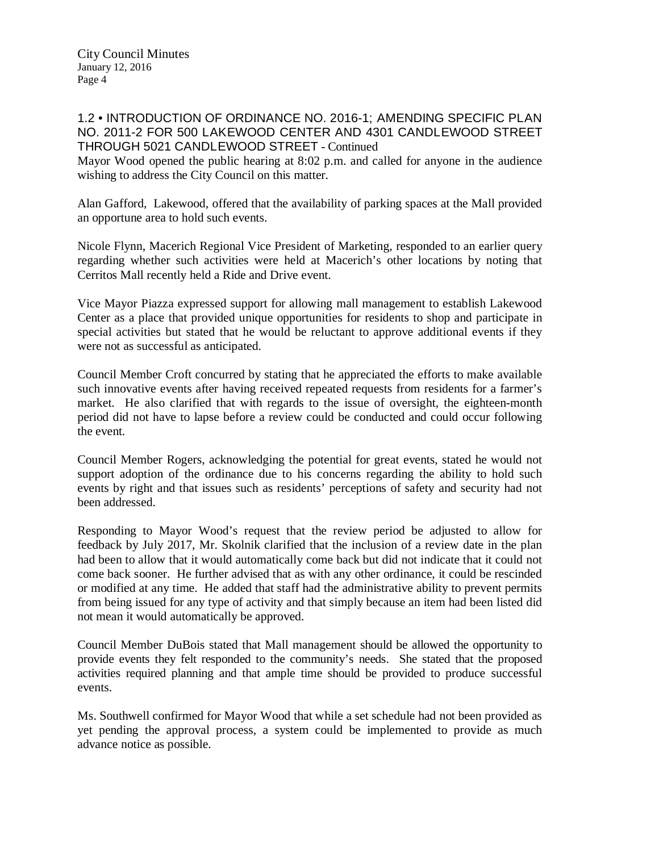## 1.2 • INTRODUCTION OF ORDINANCE NO. 2016-1; AMENDING SPECIFIC PLAN NO. 2011-2 FOR 500 LAKEWOOD CENTER AND 4301 CANDLEWOOD STREET THROUGH 5021 CANDLEWOOD STREET - Continued

Mayor Wood opened the public hearing at 8:02 p.m. and called for anyone in the audience wishing to address the City Council on this matter.

Alan Gafford, Lakewood, offered that the availability of parking spaces at the Mall provided an opportune area to hold such events.

Nicole Flynn, Macerich Regional Vice President of Marketing, responded to an earlier query regarding whether such activities were held at Macerich's other locations by noting that Cerritos Mall recently held a Ride and Drive event.

Vice Mayor Piazza expressed support for allowing mall management to establish Lakewood Center as a place that provided unique opportunities for residents to shop and participate in special activities but stated that he would be reluctant to approve additional events if they were not as successful as anticipated.

Council Member Croft concurred by stating that he appreciated the efforts to make available such innovative events after having received repeated requests from residents for a farmer's market. He also clarified that with regards to the issue of oversight, the eighteen-month period did not have to lapse before a review could be conducted and could occur following the event.

Council Member Rogers, acknowledging the potential for great events, stated he would not support adoption of the ordinance due to his concerns regarding the ability to hold such events by right and that issues such as residents' perceptions of safety and security had not been addressed.

Responding to Mayor Wood's request that the review period be adjusted to allow for feedback by July 2017, Mr. Skolnik clarified that the inclusion of a review date in the plan had been to allow that it would automatically come back but did not indicate that it could not come back sooner. He further advised that as with any other ordinance, it could be rescinded or modified at any time. He added that staff had the administrative ability to prevent permits from being issued for any type of activity and that simply because an item had been listed did not mean it would automatically be approved.

Council Member DuBois stated that Mall management should be allowed the opportunity to provide events they felt responded to the community's needs. She stated that the proposed activities required planning and that ample time should be provided to produce successful events.

Ms. Southwell confirmed for Mayor Wood that while a set schedule had not been provided as yet pending the approval process, a system could be implemented to provide as much advance notice as possible.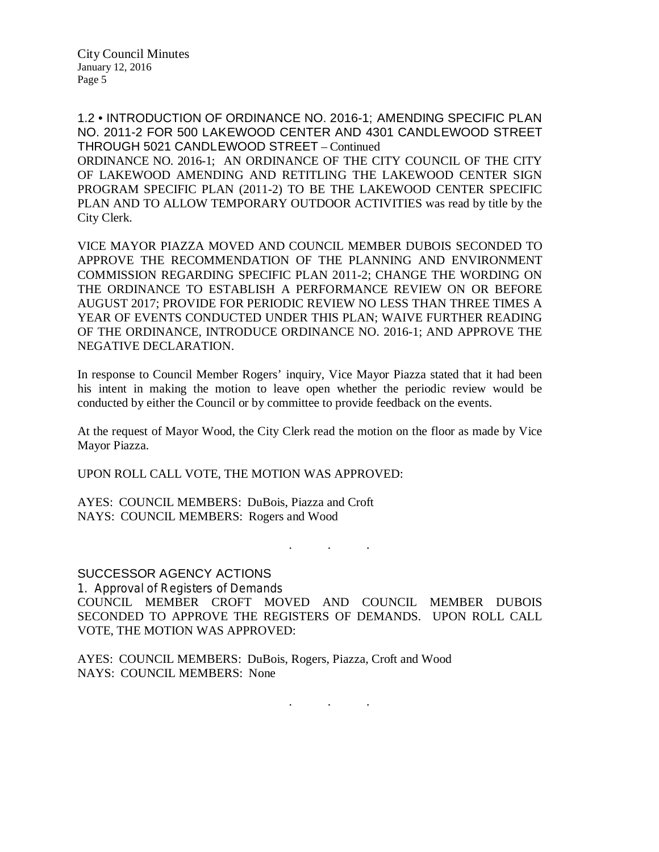City Clerk.

1.2 • INTRODUCTION OF ORDINANCE NO. 2016-1; AMENDING SPECIFIC PLAN NO. 2011-2 FOR 500 LAKEWOOD CENTER AND 4301 CANDLEWOOD STREET THROUGH 5021 CANDLEWOOD STREET – Continued ORDINANCE NO. 2016-1; AN ORDINANCE OF THE CITY COUNCIL OF THE CITY OF LAKEWOOD AMENDING AND RETITLING THE LAKEWOOD CENTER SIGN PROGRAM SPECIFIC PLAN (2011-2) TO BE THE LAKEWOOD CENTER SPECIFIC PLAN AND TO ALLOW TEMPORARY OUTDOOR ACTIVITIES was read by title by the

VICE MAYOR PIAZZA MOVED AND COUNCIL MEMBER DUBOIS SECONDED TO APPROVE THE RECOMMENDATION OF THE PLANNING AND ENVIRONMENT COMMISSION REGARDING SPECIFIC PLAN 2011-2; CHANGE THE WORDING ON THE ORDINANCE TO ESTABLISH A PERFORMANCE REVIEW ON OR BEFORE AUGUST 2017; PROVIDE FOR PERIODIC REVIEW NO LESS THAN THREE TIMES A YEAR OF EVENTS CONDUCTED UNDER THIS PLAN; WAIVE FURTHER READING OF THE ORDINANCE, INTRODUCE ORDINANCE NO. 2016-1; AND APPROVE THE NEGATIVE DECLARATION.

In response to Council Member Rogers' inquiry, Vice Mayor Piazza stated that it had been his intent in making the motion to leave open whether the periodic review would be conducted by either the Council or by committee to provide feedback on the events.

At the request of Mayor Wood, the City Clerk read the motion on the floor as made by Vice Mayor Piazza.

UPON ROLL CALL VOTE, THE MOTION WAS APPROVED:

AYES: COUNCIL MEMBERS: DuBois, Piazza and Croft NAYS: COUNCIL MEMBERS: Rogers and Wood

SUCCESSOR AGENCY ACTIONS

1. Approval of Registers of Demands COUNCIL MEMBER CROFT MOVED AND COUNCIL MEMBER DUBOIS SECONDED TO APPROVE THE REGISTERS OF DEMANDS. UPON ROLL CALL VOTE, THE MOTION WAS APPROVED:

. . .

AYES: COUNCIL MEMBERS: DuBois, Rogers, Piazza, Croft and Wood NAYS: COUNCIL MEMBERS: None

. . .